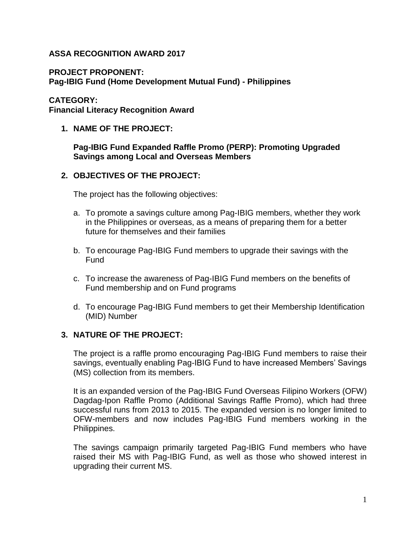# **ASSA RECOGNITION AWARD 2017**

**PROJECT PROPONENT:**

**Pag-IBIG Fund (Home Development Mutual Fund) - Philippines**

#### **CATEGORY:**

**Financial Literacy Recognition Award**

**1. NAME OF THE PROJECT:** 

#### **Pag-IBIG Fund Expanded Raffle Promo (PERP): Promoting Upgraded Savings among Local and Overseas Members**

## **2. OBJECTIVES OF THE PROJECT:**

The project has the following objectives:

- a. To promote a savings culture among Pag-IBIG members, whether they work in the Philippines or overseas, as a means of preparing them for a better future for themselves and their families
- b. To encourage Pag-IBIG Fund members to upgrade their savings with the Fund
- c. To increase the awareness of Pag-IBIG Fund members on the benefits of Fund membership and on Fund programs
- d. To encourage Pag-IBIG Fund members to get their Membership Identification (MID) Number

## **3. NATURE OF THE PROJECT:**

The project is a raffle promo encouraging Pag-IBIG Fund members to raise their savings, eventually enabling Pag-IBIG Fund to have increased Members' Savings (MS) collection from its members.

It is an expanded version of the Pag-IBIG Fund Overseas Filipino Workers (OFW) Dagdag-Ipon Raffle Promo (Additional Savings Raffle Promo), which had three successful runs from 2013 to 2015. The expanded version is no longer limited to OFW-members and now includes Pag-IBIG Fund members working in the Philippines.

The savings campaign primarily targeted Pag-IBIG Fund members who have raised their MS with Pag-IBIG Fund, as well as those who showed interest in upgrading their current MS.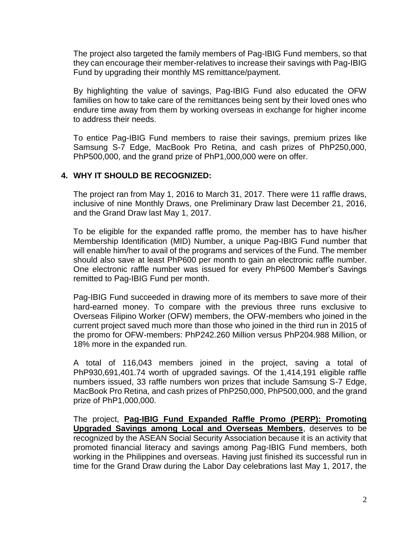The project also targeted the family members of Pag-IBIG Fund members, so that they can encourage their member-relatives to increase their savings with Pag-IBIG Fund by upgrading their monthly MS remittance/payment.

By highlighting the value of savings, Pag-IBIG Fund also educated the OFW families on how to take care of the remittances being sent by their loved ones who endure time away from them by working overseas in exchange for higher income to address their needs.

To entice Pag-IBIG Fund members to raise their savings, premium prizes like Samsung S-7 Edge, MacBook Pro Retina, and cash prizes of PhP250,000, PhP500,000, and the grand prize of PhP1,000,000 were on offer.

# **4. WHY IT SHOULD BE RECOGNIZED:**

The project ran from May 1, 2016 to March 31, 2017. There were 11 raffle draws, inclusive of nine Monthly Draws, one Preliminary Draw last December 21, 2016, and the Grand Draw last May 1, 2017.

To be eligible for the expanded raffle promo, the member has to have his/her Membership Identification (MID) Number, a unique Pag-IBIG Fund number that will enable him/her to avail of the programs and services of the Fund. The member should also save at least PhP600 per month to gain an electronic raffle number. One electronic raffle number was issued for every PhP600 Member's Savings remitted to Pag-IBIG Fund per month.

Pag-IBIG Fund succeeded in drawing more of its members to save more of their hard-earned money. To compare with the previous three runs exclusive to Overseas Filipino Worker (OFW) members, the OFW-members who joined in the current project saved much more than those who joined in the third run in 2015 of the promo for OFW-members: PhP242.260 Million versus PhP204.988 Million, or 18% more in the expanded run.

A total of 116,043 members joined in the project, saving a total of PhP930,691,401.74 worth of upgraded savings. Of the 1,414,191 eligible raffle numbers issued, 33 raffle numbers won prizes that include Samsung S-7 Edge, MacBook Pro Retina, and cash prizes of PhP250,000, PhP500,000, and the grand prize of PhP1,000,000.

The project, **Pag-IBIG Fund Expanded Raffle Promo (PERP): Promoting Upgraded Savings among Local and Overseas Members**, deserves to be recognized by the ASEAN Social Security Association because it is an activity that promoted financial literacy and savings among Pag-IBIG Fund members, both working in the Philippines and overseas. Having just finished its successful run in time for the Grand Draw during the Labor Day celebrations last May 1, 2017, the